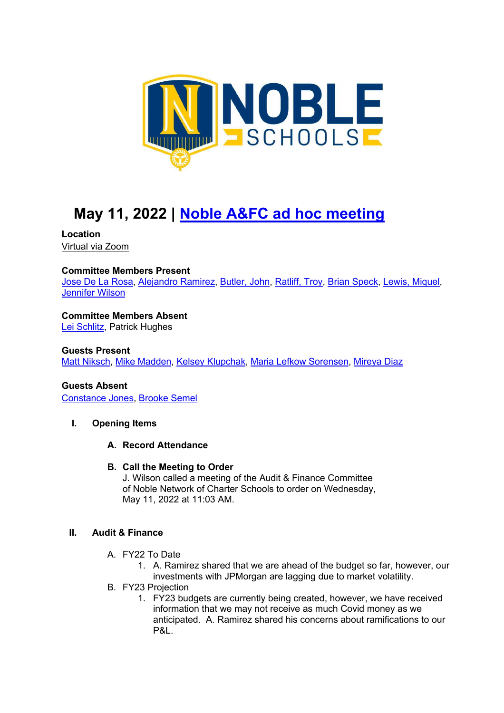

# **May 11, 2022 | Noble A&FC ad hoc meeting**

#### **Location**  Virtual via Zoom

## **Committee Members Present**

Jose De La Rosa, Alejandro Ramirez, Butler, John, Ratliff, Troy, Brian Speck, Lewis, Miquel, Jennifer Wilson

### **Committee Members Absent**

Lei Schlitz, Patrick Hughes

#### **Guests Present**

Matt Niksch, Mike Madden, Kelsey Klupchak, Maria Lefkow Sorensen, Mireya Diaz

## **Guests Absent**

Constance Jones, Brooke Semel

#### **I. Opening Items**

#### **A. Record Attendance**

#### **B. Call the Meeting to Order**

J. Wilson called a meeting of the Audit & Finance Committee of Noble Network of Charter Schools to order on Wednesday, May 11, 2022 at 11:03 AM.

#### **II. Audit & Finance**

- A. FY22 To Date
	- 1. A. Ramirez shared that we are ahead of the budget so far, however, our investments with JPMorgan are lagging due to market volatility.
- B. FY23 Projection
	- 1. FY23 budgets are currently being created, however, we have received information that we may not receive as much Covid money as we anticipated. A. Ramirez shared his concerns about ramifications to our P&L.